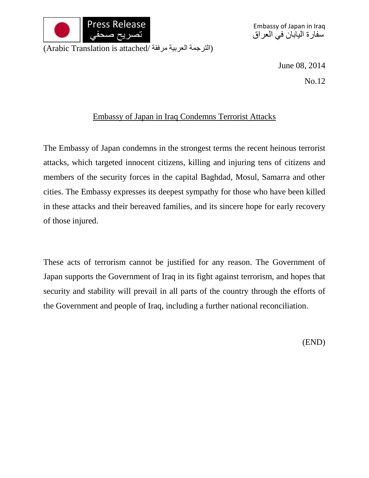

Embassy of Japan in Iraq سفارة اليابان في العراق

(الترجمة العربية مرفقة /Arabic Translation is attached)

June 08, 2014

No.12

## Embassy of Japan in Iraq Condemns Terrorist Attacks

The Embassy of Japan condemns in the strongest terms the recent heinous terrorist attacks, which targeted innocent citizens, killing and injuring tens of citizens and members of the security forces in the capital Baghdad, Mosul, Samarra and other cities. The Embassy expresses its deepest sympathy for those who have been killed in these attacks and their bereaved families, and its sincere hope for early recovery of those injured.

These acts of terrorism cannot be justified for any reason. The Government of Japan supports the Government of Iraq in its fight against terrorism, and hopes that security and stability will prevail in all parts of the country through the efforts of the Government and people of Iraq, including a further national reconciliation.

(END)